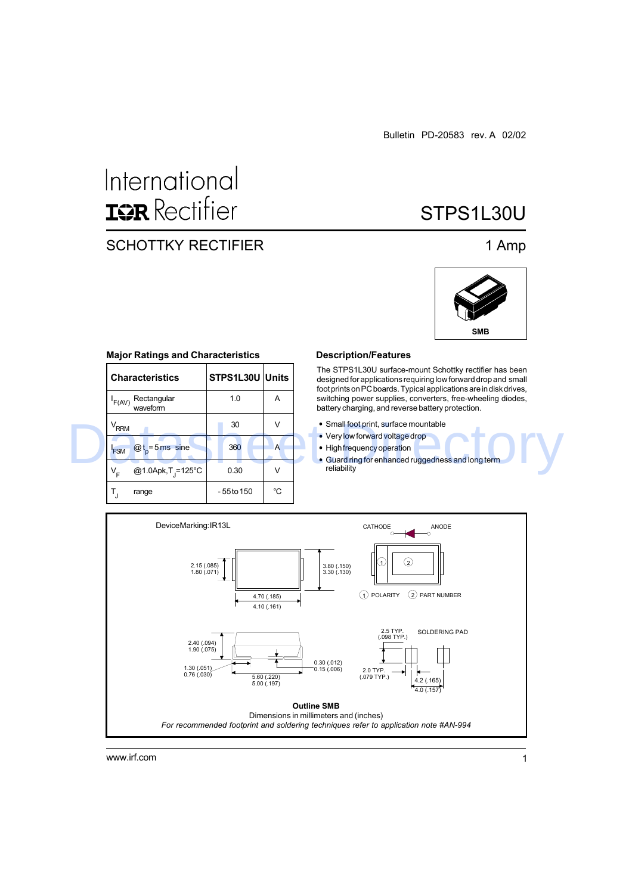# International **ISR** Rectifier

### SCHOTTKY RECTIFIER 1 Amp

## STPS1L30U



#### **Major Ratings and Characteristics**

|  | <b>Characteristics</b>            | STPS1L30U Units |    | The STPS1L30U surface-mount Schottky rectifier has been<br>designed for applications requiring low forward drop and small<br>foot prints on PC boards. Typical applications are in disk drives, |  |  |  |
|--|-----------------------------------|-----------------|----|-------------------------------------------------------------------------------------------------------------------------------------------------------------------------------------------------|--|--|--|
|  | Rectangular<br>'F(AV)<br>waveform | 1.0             | A  | switching power supplies, converters, free-wheeling diodes,<br>battery charging, and reverse battery protection.                                                                                |  |  |  |
|  | $V_{RRM}$                         | 30              | ν  | • Small foot print, surface mountable<br>• Very low forward voltage drop                                                                                                                        |  |  |  |
|  | $@t = 5$ ms sine<br><b>FSM</b>    | 360             | A  | • High frequency operation<br>• Guard ring for enhanced ruggedness and long term                                                                                                                |  |  |  |
|  | @1.0Apk, T = 125°C<br>v,          | 0.30            | V  | reliability                                                                                                                                                                                     |  |  |  |
|  | range                             | - 55 to 150     | °C |                                                                                                                                                                                                 |  |  |  |

#### **Description/Features**

- Small foot print, surface mountable
- Very low forward voltage drop
- High frequency operation
- Guard ring for enhanced ruggedness and long term reliability



www.irf.com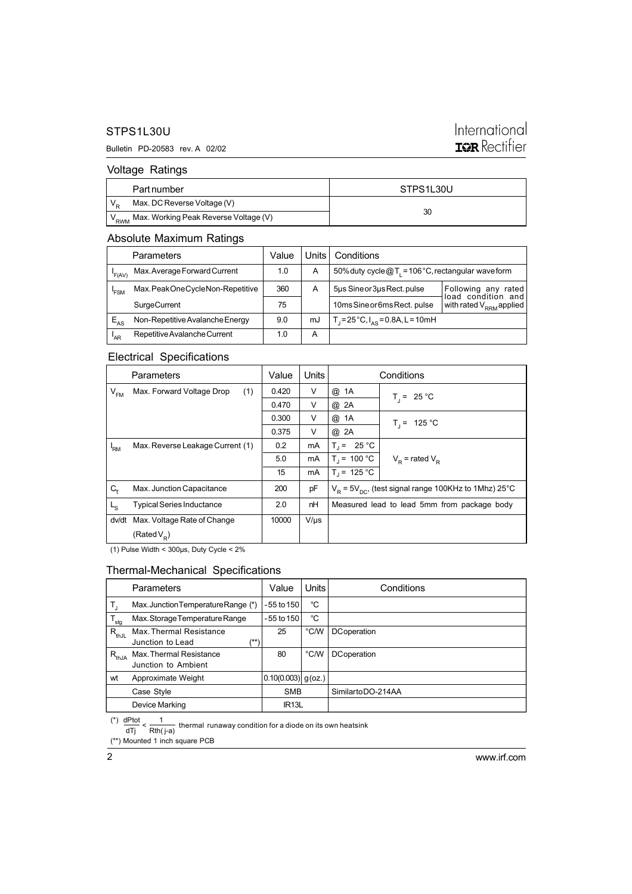#### STPS1L30U

#### Bulletin PD-20583 rev. A 02/02

### International **IQR** Rectifier

#### Voltage Ratings

| Part number                                            | STPS1L30U |
|--------------------------------------------------------|-----------|
| Max. DC Reverse Voltage (V)                            |           |
| V <sub>RWM</sub> Max. Working Peak Reverse Voltage (V) | 30        |

#### Absolute Maximum Ratings

|          | Parameters                      | Value | Units l | Conditions                                           |                                              |
|----------|---------------------------------|-------|---------|------------------------------------------------------|----------------------------------------------|
| 'F(AV)   | Max. Average Forward Current    | 1.0   | A       | 50% duty cycle $@T_1 = 106°C$ , rectangular waveform |                                              |
| 'FSM     | Max.PeakOneCycleNon-Repetitive  | 360   | A       | 5us Sine or 3us Rect. pulse                          | Following any<br>rated<br>load condition and |
|          | <b>SurgeCurrent</b>             | 75    |         | 10ms Sine or 6ms Rect. pulse                         | with rated V <sub>RRM</sub> applied          |
| $E_{AS}$ | Non-Repetitive Avalanche Energy | 9.0   | mJ      | $T_1 = 25^{\circ}C$ , $I_{AS} = 0.8A$ , L = 10mH     |                                              |
| 'AR      | Repetitive Avalanche Current    | 1.0   | А       |                                                      |                                              |

### Electrical Specifications

| Parameters                 |                                  | Value | Units     | Conditions                                                |                     |  |
|----------------------------|----------------------------------|-------|-----------|-----------------------------------------------------------|---------------------|--|
| $\mathsf{V}_{\mathsf{FM}}$ | (1)<br>Max. Forward Voltage Drop | 0.420 | V         | @ 1A                                                      | $T_i = 25 °C$       |  |
|                            |                                  | 0.470 | V         | @ 2A                                                      |                     |  |
|                            |                                  | 0.300 | V         | @ 1A                                                      | $T_i = 125 °C$      |  |
|                            |                                  | 0.375 | V         | @ 2A                                                      |                     |  |
| 'RM                        | Max. Reverse Leakage Current (1) | 0.2   | mA        | $T_1 = 25 °C$                                             |                     |  |
|                            |                                  | 5.0   | mA        | $T_i = 100 °C$                                            | $V_p$ = rated $V_p$ |  |
|                            |                                  | 15    | mA        | $T_1 = 125 °C$                                            |                     |  |
| $C_T$                      | Max. Junction Capacitance        | 200   | pF        | $V_p = 5V_{p0}$ , (test signal range 100KHz to 1Mhz) 25°C |                     |  |
| Lg                         | <b>Typical Series Inductance</b> | 2.0   | nH        | Measured lead to lead 5mm from package body               |                     |  |
| dv/dt                      | Max. Voltage Rate of Change      | 10000 | $V/\mu s$ |                                                           |                     |  |
|                            | (Rated $V_{\rm p}$ )             |       |           |                                                           |                     |  |

(1) Pulse Width < 300µs, Duty Cycle < 2%

#### Thermal-Mechanical Specifications

|                  | Parameters                                          | Value                  | Units          | Conditions         |
|------------------|-----------------------------------------------------|------------------------|----------------|--------------------|
|                  | Max.JunctionTemperatureRange (*)                    | -55 to 150             | °C             |                    |
| $T_{\text{stg}}$ | Max.StorageTemperatureRange                         | $-55$ to 150           | °C             |                    |
| $R_{thJL}$       | Max. Thermal Resistance<br>(**)<br>Junction to Lead | 25                     | °C/W           | DCoperation        |
| $R_{thJA}$       | Max. Thermal Resistance<br>Junction to Ambient      | 80                     | $^{\circ}$ C/W | <b>DCoperation</b> |
| wt               | Approximate Weight                                  | $ 0.10(0.003) $ g(oz.) |                |                    |
|                  | Case Style                                          | <b>SMB</b>             |                | SimilartoDO-214AA  |
|                  | Device Marking                                      | IR <sub>13</sub> L     |                |                    |

(\*)  $\frac{dPtot}{dTj} < \frac{1}{Rth(j-a)}$  thermal runaway condition for a diode on its own heatsink

(\*\*) Mounted 1 inch square PCB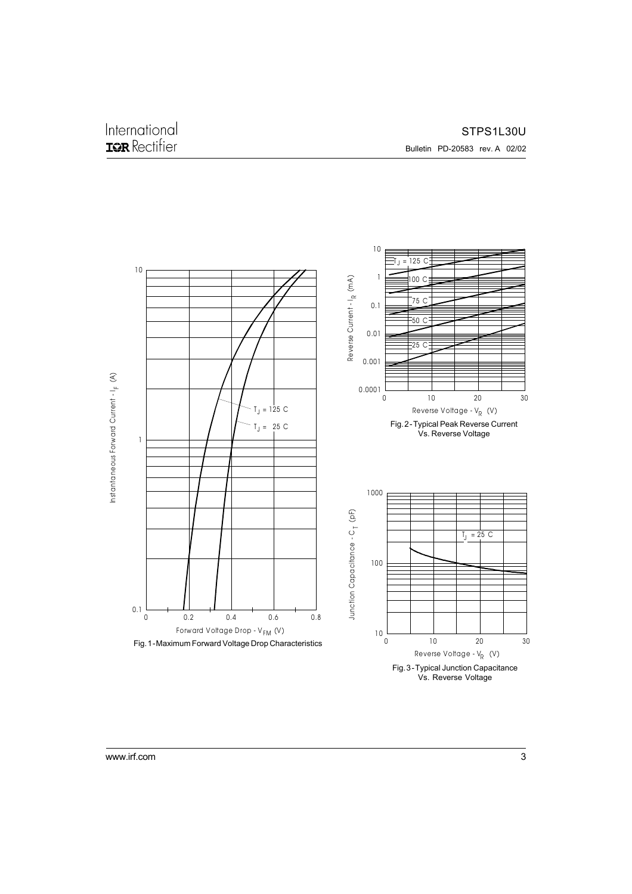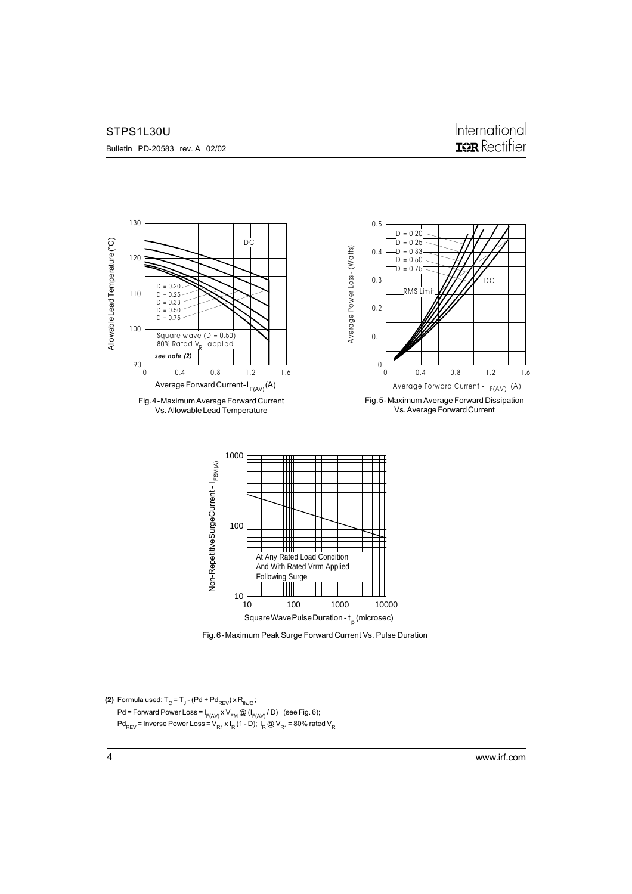STPS1L30U

Bulletin PD-20583 rev. A 02/02



Fig. 6 - Maximum Peak Surge Forward Current Vs. Pulse Duration

**(2)** Formula used:  $T_{\text{C}}$  =  $T_{\text{J}}$  - (Pd + Pd<sub>REV</sub>) x R<sub>thJC</sub>; Pd = Forward Power Loss =  $I_{F(AV)} \times V_{FM} \textcircled{a} (I_{F(AV)} / D)$  (see Fig. 6);  $Pd_{REV}$  = Inverse Power Loss =  $V_{R1}$  x I<sub>R</sub> (1 - D); I<sub>R</sub> @ V<sub>R1</sub> = 80% rated V<sub>R</sub>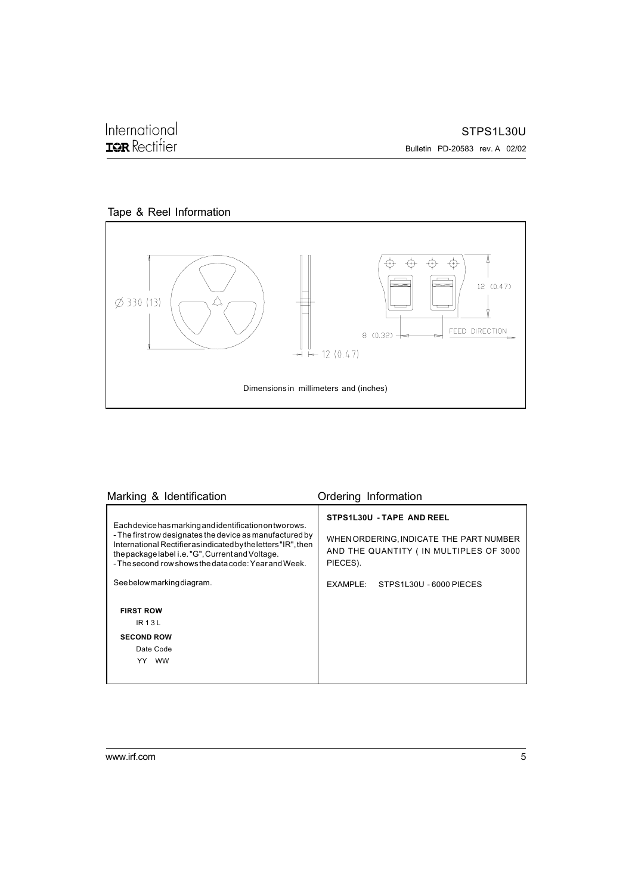

| Marking & Identification                                                                                                                                                                                                                                                                                                                                                                                | Ordering Information                                                                                                                                           |
|---------------------------------------------------------------------------------------------------------------------------------------------------------------------------------------------------------------------------------------------------------------------------------------------------------------------------------------------------------------------------------------------------------|----------------------------------------------------------------------------------------------------------------------------------------------------------------|
| Each device has marking and identification on two rows.<br>- The first row designates the device as manufactured by<br>International Rectifier as indicated by the letters "IR", then<br>the package label i.e. "G", Current and Voltage.<br>- The second row shows the data code: Year and Week.<br>Seebelowmarkingdiagram.<br><b>FIRST ROW</b><br>$IR$ 13L<br><b>SECOND ROW</b><br>Date Code<br>YY WW | STPS1L30U - TAPE AND REEL<br>WHEN ORDERING, INDICATE THE PART NUMBER<br>AND THE QUANTITY (IN MULTIPLES OF 3000<br>PIECES).<br>EXAMPLE: STPS1L30U - 6000 PIECES |
|                                                                                                                                                                                                                                                                                                                                                                                                         |                                                                                                                                                                |

International<br>**IGR** Rectifier